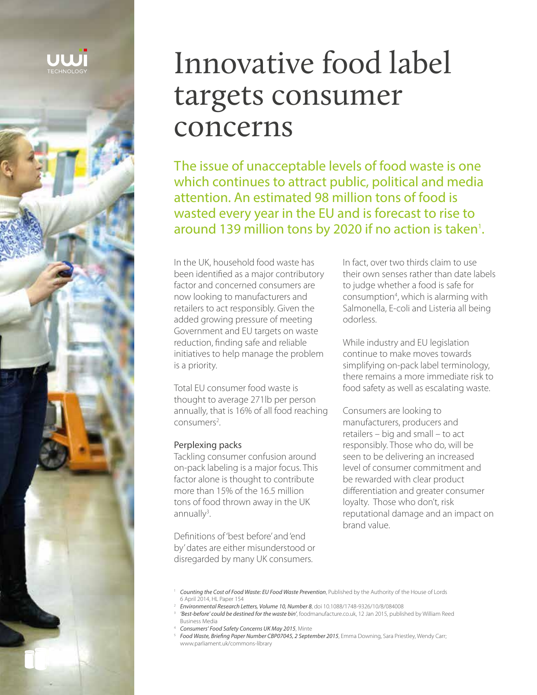

# Innovative food label targets consumer concerns

The issue of unacceptable levels of food waste is one which continues to attract public, political and media attention. An estimated 98 million tons of food is wasted every year in the EU and is forecast to rise to around 139 million tons by 2020 if no action is taken<sup>1</sup>.

In the UK, household food waste has been identified as a major contributory factor and concerned consumers are now looking to manufacturers and retailers to act responsibly. Given the added growing pressure of meeting Government and EU targets on waste reduction, finding safe and reliable initiatives to help manage the problem is a priority.

Total EU consumer food waste is thought to average 271lb per person annually, that is 16% of all food reaching  $consumes<sup>2</sup>$ . .

#### Perplexing packs

Tackling consumer confusion around on-pack labeling is a major focus. This factor alone is thought to contribute more than 15% of the 16.5 million tons of food thrown away in the UK  $annually<sup>3</sup>$ . .

Definitions of 'best before' and 'end by' dates are either misunderstood or disregarded by many UK consumers.

In fact, over two thirds claim to use their own senses rather than date labels to judge whether a food is safe for consumption<sup>4</sup>, which is alarming with Salmonella, E-coli and Listeria all being odorless.

While industry and EU legislation continue to make moves towards simplifying on-pack label terminology, there remains a more immediate risk to food safety as well as escalating waste.

Consumers are looking to manufacturers, producers and retailers – big and small – to act responsibly. Those who do, will be seen to be delivering an increased level of consumer commitment and be rewarded with clear product differentiation and greater consumer loyalty. Those who don't, risk reputational damage and an impact on brand value.

- <sup>2</sup> *Environmental Research Letters, Volume 10, Number 8*, doi 10.1088/1748-9326/10/8/084008
- 3 *'Best-before' could be destined for the waste bin'*, foodmanufacture.co.uk, 12 Jan 2015, published by William Reed Business Media
- <sup>4</sup> *Consumers' Food Safety Concerns UK May 2015*, Minte

<sup>1</sup> *Counting the Cost of Food Waste: EU Food Waste Prevention*, Published by the Authority of the House of Lords 6 April 2014, HL Paper 154

<sup>&</sup>lt;sup>5</sup> Food Waste, Briefing Paper Number CBP07045, 2 September 2015, Emma Downing, Sara Priestley, Wendy Carr; www.parliament.uk/commons-library